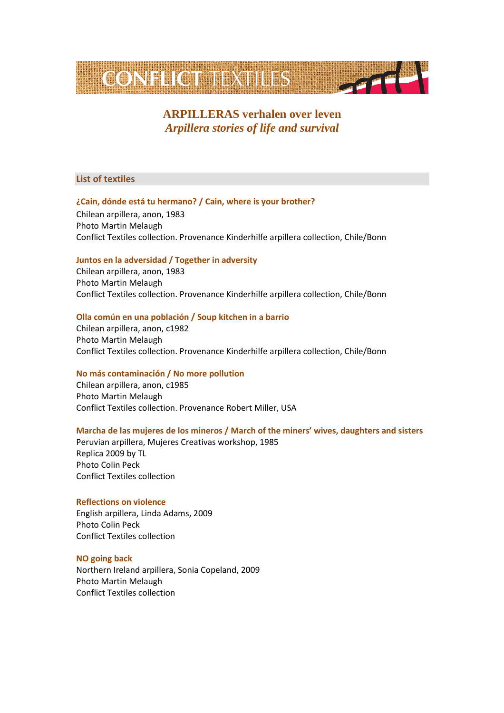

# **ARPILLERAS verhalen over leven**  *Arpillera stories of life and survival*

# **List of textiles**

# **¿Cain, dónde está tu hermano? / Cain, where is your brother?**

Chilean arpillera, anon, 1983 Photo Martin Melaugh Conflict Textiles collection. Provenance Kinderhilfe arpillera collection, Chile/Bonn

## **Juntos en la adversidad / Together in adversity**

Chilean arpillera, anon, 1983 Photo Martin Melaugh Conflict Textiles collection. Provenance Kinderhilfe arpillera collection, Chile/Bonn

## **Olla común en una población / Soup kitchen in a barrio**

Chilean arpillera, anon, c1982 Photo Martin Melaugh Conflict Textiles collection. Provenance Kinderhilfe arpillera collection, Chile/Bonn

# **No más contaminación / No more pollution**

Chilean arpillera, anon, c1985 Photo Martin Melaugh Conflict Textiles collection. Provenance Robert Miller, USA

# **Marcha de las mujeres de los mineros / March of the miners' wives, daughters and sisters**

Peruvian arpillera, Mujeres Creativas workshop, 1985 Replica 2009 by TL Photo Colin Peck Conflict Textiles collection

## **Reflections on violence**

English arpillera, Linda Adams, 2009 Photo Colin Peck Conflict Textiles collection

## **NO going back**

Northern Ireland arpillera, Sonia Copeland, 2009 Photo Martin Melaugh Conflict Textiles collection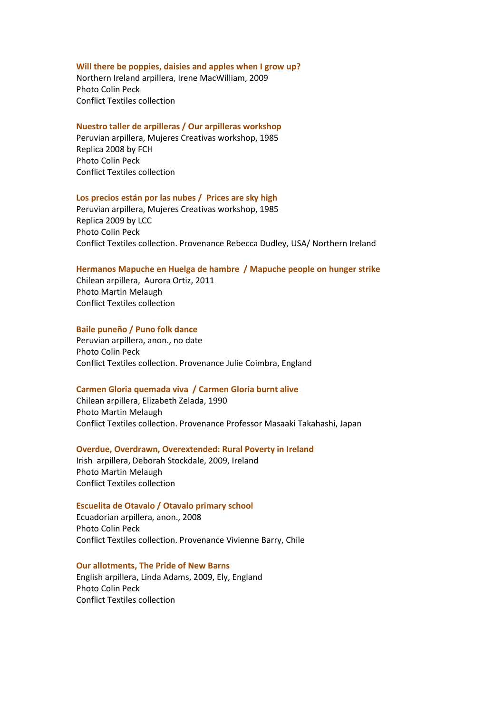#### **Will there be poppies, daisies and apples when I grow up?**

Northern Ireland arpillera, Irene MacWilliam, 2009 Photo Colin Peck Conflict Textiles collection

## **Nuestro taller de arpilleras / Our arpilleras workshop**

Peruvian arpillera, Mujeres Creativas workshop, 1985 Replica 2008 by FCH Photo Colin Peck Conflict Textiles collection

#### **Los precios están por las nubes / Prices are sky high**

Peruvian arpillera, Mujeres Creativas workshop, 1985 Replica 2009 by LCC Photo Colin Peck Conflict Textiles collection. Provenance Rebecca Dudley, USA/ Northern Ireland

#### **Hermanos Mapuche en Huelga de hambre / Mapuche people on hunger strike**

Chilean arpillera, Aurora Ortiz, 2011 Photo Martin Melaugh Conflict Textiles collection

## **Baile puneño / Puno folk dance**

Peruvian arpillera, anon., no date Photo Colin Peck Conflict Textiles collection. Provenance Julie Coimbra, England

### **Carmen Gloria quemada viva / Carmen Gloria burnt alive**

Chilean arpillera, Elizabeth Zelada, 1990 Photo Martin Melaugh Conflict Textiles collection. Provenance Professor Masaaki Takahashi, Japan

#### **Overdue, Overdrawn, Overextended: Rural Poverty in Ireland**

Irish arpillera, Deborah Stockdale, 2009, Ireland Photo Martin Melaugh Conflict Textiles collection

#### **Escuelita de Otavalo / Otavalo primary school**

Ecuadorian arpillera, anon., 2008 Photo Colin Peck Conflict Textiles collection. Provenance Vivienne Barry, Chile

#### **Our allotments, The Pride of New Barns**

English arpillera, Linda Adams, 2009, Ely, England Photo Colin Peck Conflict Textiles collection